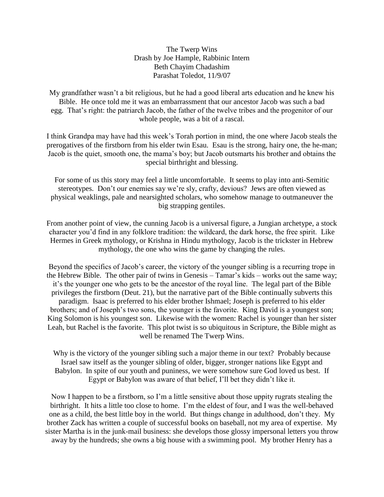The Twerp Wins Drash by Joe Hample, Rabbinic Intern Beth Chayim Chadashim Parashat Toledot, 11/9/07

My grandfather wasn't a bit religious, but he had a good liberal arts education and he knew his Bible. He once told me it was an embarrassment that our ancestor Jacob was such a bad egg. That's right: the patriarch Jacob, the father of the twelve tribes and the progenitor of our whole people, was a bit of a rascal.

I think Grandpa may have had this week's Torah portion in mind, the one where Jacob steals the prerogatives of the firstborn from his elder twin Esau. Esau is the strong, hairy one, the he-man; Jacob is the quiet, smooth one, the mama's boy; but Jacob outsmarts his brother and obtains the special birthright and blessing.

For some of us this story may feel a little uncomfortable. It seems to play into anti-Semitic stereotypes. Don't our enemies say we're sly, crafty, devious? Jews are often viewed as physical weaklings, pale and nearsighted scholars, who somehow manage to outmaneuver the big strapping gentiles.

From another point of view, the cunning Jacob is a universal figure, a Jungian archetype, a stock character you'd find in any folklore tradition: the wildcard, the dark horse, the free spirit. Like Hermes in Greek mythology, or Krishna in Hindu mythology, Jacob is the trickster in Hebrew mythology, the one who wins the game by changing the rules.

Beyond the specifics of Jacob's career, the victory of the younger sibling is a recurring trope in the Hebrew Bible. The other pair of twins in Genesis – Tamar's kids – works out the same way; it's the younger one who gets to be the ancestor of the royal line. The legal part of the Bible privileges the firstborn (Deut. 21), but the narrative part of the Bible continually subverts this paradigm. Isaac is preferred to his elder brother Ishmael; Joseph is preferred to his elder brothers; and of Joseph's two sons, the younger is the favorite. King David is a youngest son; King Solomon is his youngest son. Likewise with the women: Rachel is younger than her sister Leah, but Rachel is the favorite. This plot twist is so ubiquitous in Scripture, the Bible might as well be renamed The Twerp Wins.

Why is the victory of the younger sibling such a major theme in our text? Probably because Israel saw itself as the younger sibling of older, bigger, stronger nations like Egypt and Babylon. In spite of our youth and puniness, we were somehow sure God loved us best. If Egypt or Babylon was aware of that belief, I'll bet they didn't like it.

Now I happen to be a firstborn, so I'm a little sensitive about those uppity rugrats stealing the birthright. It hits a little too close to home. I'm the eldest of four, and I was the well-behaved one as a child, the best little boy in the world. But things change in adulthood, don't they. My brother Zack has written a couple of successful books on baseball, not my area of expertise. My sister Martha is in the junk-mail business: she develops those glossy impersonal letters you throw away by the hundreds; she owns a big house with a swimming pool. My brother Henry has a